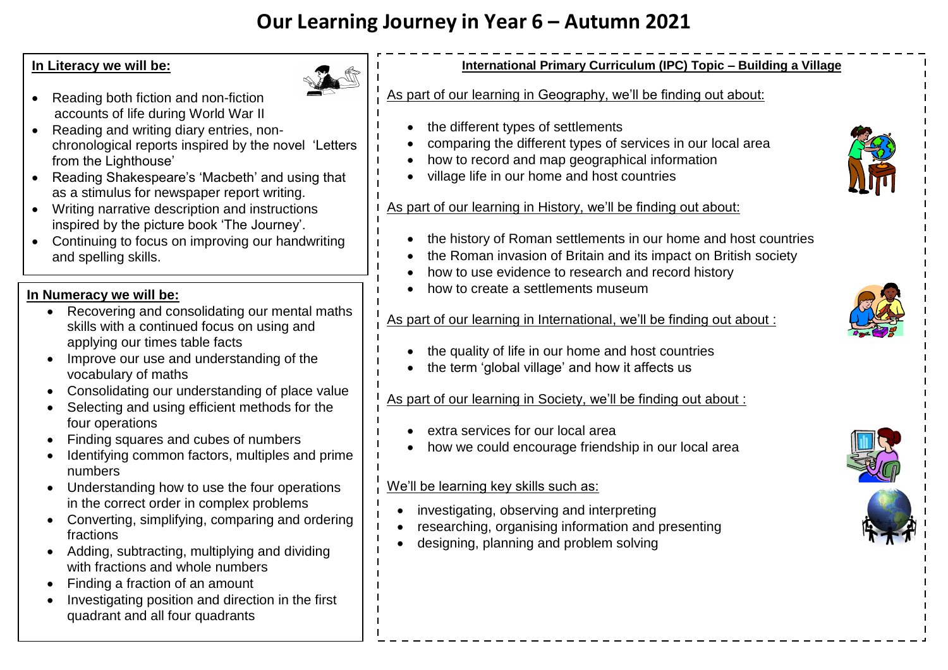# **Our Learning Journey in Year 6 – Autumn 2021**

## **In Literacy we will be:**



- Reading both fiction and non-fiction accounts of life during World War II
- Reading and writing diary entries, nonchronological reports inspired by the novel 'Letters from the Lighthouse'
- Reading Shakespeare's 'Macbeth' and using that as a stimulus for newspaper report writing.
- Writing narrative description and instructions inspired by the picture book 'The Journey'.
- Continuing to focus on improving our handwriting and spelling skills.

# **In Numeracy we will be:**

- Recovering and consolidating our mental maths skills with a continued focus on using and applying our times table facts
- Improve our use and understanding of the vocabulary of maths
- Consolidating our understanding of place value
- Selecting and using efficient methods for the four operations
- Finding squares and cubes of numbers
- Identifying common factors, multiples and prime numbers
- Understanding how to use the four operations in the correct order in complex problems
- Converting, simplifying, comparing and ordering fractions
- Adding, subtracting, multiplying and dividing with fractions and whole numbers
- Finding a fraction of an amount
- Investigating position and direction in the first quadrant and all four quadrants



# **International Primary Curriculum (IPC) Topic – Building a Village**

#### As part of our learning in Geography, we'll be finding out about:

- the different types of settlements
- comparing the different types of services in our local area
- how to record and map geographical information
- village life in our home and host countries

#### As part of our learning in History, we'll be finding out about:

- the history of Roman settlements in our home and host countries
- the Roman invasion of Britain and its impact on British society
- how to use evidence to research and record history
- how to create a settlements museum

#### As part of our learning in International, we'll be finding out about :



- the quality of life in our home and host countries
- the term 'global village' and how it affects us

#### As part of our learning in Society, we'll be finding out about :

- extra services for our local area
- how we could encourage friendship in our local area

## We'll be learning key skills such as:

- investigating, observing and interpreting
- researching, organising information and presenting
- designing, planning and problem solving